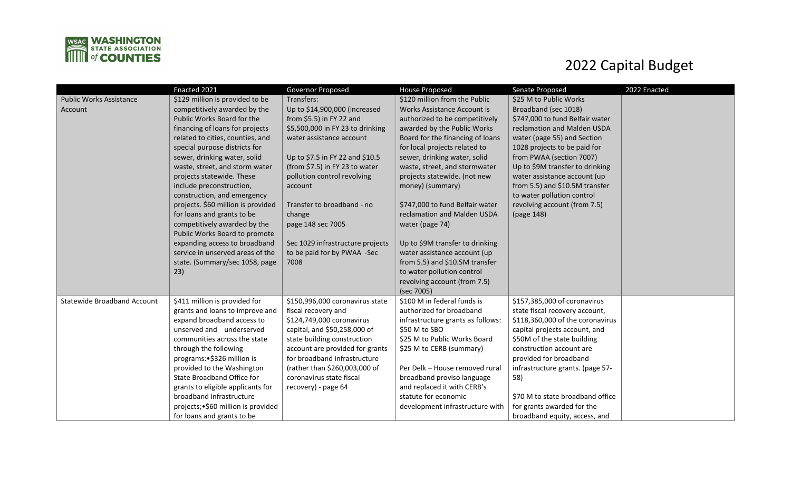

## 2022 Capital Budget

|                                    | Enacted 2021                                             | Governor Proposed                                              | <b>House Proposed</b>                         | Senate Proposed                                         | 2022 Enacted |
|------------------------------------|----------------------------------------------------------|----------------------------------------------------------------|-----------------------------------------------|---------------------------------------------------------|--------------|
| <b>Public Works Assistance</b>     | \$129 million is provided to be                          | Transfers:                                                     | \$120 million from the Public                 | \$25 M to Public Works                                  |              |
| Account                            | competitively awarded by the                             | Up to \$14,900,000 (increased                                  | Works Assistance Account is                   | Broadband (sec 1018)                                    |              |
|                                    | Public Works Board for the                               | from $$5.5$ ) in FY 22 and                                     | authorized to be competitively                | \$747,000 to fund Belfair water                         |              |
|                                    | financing of loans for projects                          | \$5,500,000 in FY 23 to drinking                               | awarded by the Public Works                   | reclamation and Malden USDA                             |              |
|                                    | related to cities, counties, and                         | water assistance account                                       | Board for the financing of loans              | water (page 55) and Section                             |              |
|                                    | special purpose districts for                            |                                                                | for local projects related to                 | 1028 projects to be paid for                            |              |
|                                    | sewer, drinking water, solid                             | Up to \$7.5 in FY 22 and \$10.5                                | sewer, drinking water, solid                  | from PWAA (section 7007)                                |              |
|                                    | waste, street, and storm water                           | (from \$7.5) in FY 23 to water                                 | waste, street, and stormwater                 | Up to \$9M transfer to drinking                         |              |
|                                    | projects statewide. These                                | pollution control revolving                                    | projects statewide. (not new                  | water assistance account (up                            |              |
|                                    | include preconstruction,                                 | account                                                        | money) (summary)                              | from 5.5) and \$10.5M transfer                          |              |
|                                    | construction, and emergency                              |                                                                |                                               | to water pollution control                              |              |
|                                    | projects. \$60 million is provided                       | Transfer to broadband - no                                     | \$747,000 to fund Belfair water               | revolving account (from 7.5)                            |              |
|                                    | for loans and grants to be                               | change                                                         | reclamation and Malden USDA                   | (page 148)                                              |              |
|                                    | competitively awarded by the                             | page 148 sec 7005                                              | water (page 74)                               |                                                         |              |
|                                    | Public Works Board to promote                            |                                                                |                                               |                                                         |              |
|                                    | expanding access to broadband                            | Sec 1029 infrastructure projects                               | Up to \$9M transfer to drinking               |                                                         |              |
|                                    | service in unserved areas of the                         | to be paid for by PWAA -Sec                                    | water assistance account (up                  |                                                         |              |
|                                    | state. (Summary/sec 1058, page                           | 7008                                                           | from 5.5) and \$10.5M transfer                |                                                         |              |
|                                    | 23)                                                      |                                                                | to water pollution control                    |                                                         |              |
|                                    |                                                          |                                                                | revolving account (from 7.5)                  |                                                         |              |
|                                    |                                                          |                                                                | (sec 7005)                                    |                                                         |              |
| <b>Statewide Broadband Account</b> | \$411 million is provided for                            | \$150,996,000 coronavirus state                                | \$100 M in federal funds is                   | \$157,385,000 of coronavirus                            |              |
|                                    | grants and loans to improve and                          | fiscal recovery and                                            | authorized for broadband                      | state fiscal recovery account,                          |              |
|                                    | expand broadband access to                               | \$124,749,000 coronavirus                                      | infrastructure grants as follows:             | \$118,360,000 of the coronavirus                        |              |
|                                    | unserved and underserved<br>communities across the state | capital, and \$50,258,000 of                                   | \$50 M to SBO<br>\$25 M to Public Works Board | capital projects account, and                           |              |
|                                    | through the following                                    | state building construction<br>account are provided for grants |                                               | \$50M of the state building<br>construction account are |              |
|                                    | programs: • \$326 million is                             | for broadband infrastructure                                   | \$25 M to CERB (summary)                      | provided for broadband                                  |              |
|                                    | provided to the Washington                               | (rather than \$260,003,000 of                                  | Per Delk - House removed rural                | infrastructure grants. (page 57-                        |              |
|                                    | State Broadband Office for                               | coronavirus state fiscal                                       | broadband proviso language                    | 58)                                                     |              |
|                                    | grants to eligible applicants for                        | recovery) - page 64                                            | and replaced it with CERB's                   |                                                         |              |
|                                    | broadband infrastructure                                 |                                                                | statute for economic                          | \$70 M to state broadband office                        |              |
|                                    | projects; . \$60 million is provided                     |                                                                | development infrastructure with               | for grants awarded for the                              |              |
|                                    | for loans and grants to be                               |                                                                |                                               | broadband equity, access, and                           |              |
|                                    |                                                          |                                                                |                                               |                                                         |              |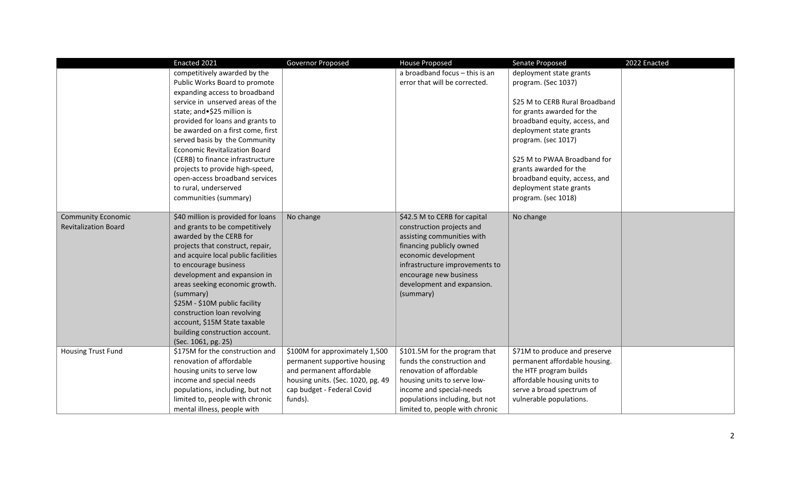|                             | Enacted 2021                         | Governor Proposed                                               |                                                         |                                                          | 2022 Enacted |
|-----------------------------|--------------------------------------|-----------------------------------------------------------------|---------------------------------------------------------|----------------------------------------------------------|--------------|
|                             |                                      |                                                                 | <b>House Proposed</b><br>a broadband focus - this is an | Senate Proposed                                          |              |
|                             | competitively awarded by the         |                                                                 |                                                         | deployment state grants                                  |              |
|                             | Public Works Board to promote        |                                                                 | error that will be corrected.                           | program. (Sec 1037)                                      |              |
|                             | expanding access to broadband        |                                                                 |                                                         |                                                          |              |
|                             | service in unserved areas of the     |                                                                 |                                                         | \$25 M to CERB Rural Broadband                           |              |
|                             | state; and · \$25 million is         |                                                                 |                                                         | for grants awarded for the                               |              |
|                             | provided for loans and grants to     |                                                                 |                                                         | broadband equity, access, and                            |              |
|                             | be awarded on a first come, first    |                                                                 |                                                         | deployment state grants                                  |              |
|                             | served basis by the Community        |                                                                 |                                                         | program. (sec 1017)                                      |              |
|                             | <b>Economic Revitalization Board</b> |                                                                 |                                                         |                                                          |              |
|                             | (CERB) to finance infrastructure     |                                                                 |                                                         | \$25 M to PWAA Broadband for                             |              |
|                             | projects to provide high-speed,      |                                                                 |                                                         | grants awarded for the                                   |              |
|                             | open-access broadband services       |                                                                 |                                                         | broadband equity, access, and                            |              |
|                             | to rural, underserved                |                                                                 |                                                         | deployment state grants                                  |              |
|                             | communities (summary)                |                                                                 |                                                         | program. (sec 1018)                                      |              |
|                             |                                      |                                                                 |                                                         |                                                          |              |
| <b>Community Economic</b>   | \$40 million is provided for loans   | No change                                                       | \$42.5 M to CERB for capital                            | No change                                                |              |
| <b>Revitalization Board</b> | and grants to be competitively       |                                                                 | construction projects and                               |                                                          |              |
|                             | awarded by the CERB for              |                                                                 | assisting communities with                              |                                                          |              |
|                             | projects that construct, repair,     |                                                                 | financing publicly owned                                |                                                          |              |
|                             | and acquire local public facilities  |                                                                 | economic development                                    |                                                          |              |
|                             | to encourage business                |                                                                 | infrastructure improvements to                          |                                                          |              |
|                             | development and expansion in         |                                                                 | encourage new business                                  |                                                          |              |
|                             | areas seeking economic growth.       |                                                                 | development and expansion.                              |                                                          |              |
|                             | (summary)                            |                                                                 | (summary)                                               |                                                          |              |
|                             | \$25M - \$10M public facility        |                                                                 |                                                         |                                                          |              |
|                             | construction loan revolving          |                                                                 |                                                         |                                                          |              |
|                             | account, \$15M State taxable         |                                                                 |                                                         |                                                          |              |
|                             | building construction account.       |                                                                 |                                                         |                                                          |              |
|                             | (Sec. 1061, pg. 25)                  |                                                                 |                                                         |                                                          |              |
| <b>Housing Trust Fund</b>   | \$175M for the construction and      | \$100M for approximately 1,500                                  | \$101.5M for the program that                           | \$71M to produce and preserve                            |              |
|                             | renovation of affordable             | permanent supportive housing                                    | funds the construction and                              | permanent affordable housing.                            |              |
|                             | housing units to serve low           | and permanent affordable                                        | renovation of affordable                                | the HTF program builds                                   |              |
|                             |                                      |                                                                 |                                                         |                                                          |              |
|                             | income and special needs             | housing units. (Sec. 1020, pg. 49<br>cap budget - Federal Covid | housing units to serve low-<br>income and special-needs | affordable housing units to<br>serve a broad spectrum of |              |
|                             | populations, including, but not      |                                                                 |                                                         |                                                          |              |
|                             | limited to, people with chronic      | funds).                                                         | populations including, but not                          | vulnerable populations.                                  |              |
|                             | mental illness, people with          |                                                                 | limited to, people with chronic                         |                                                          |              |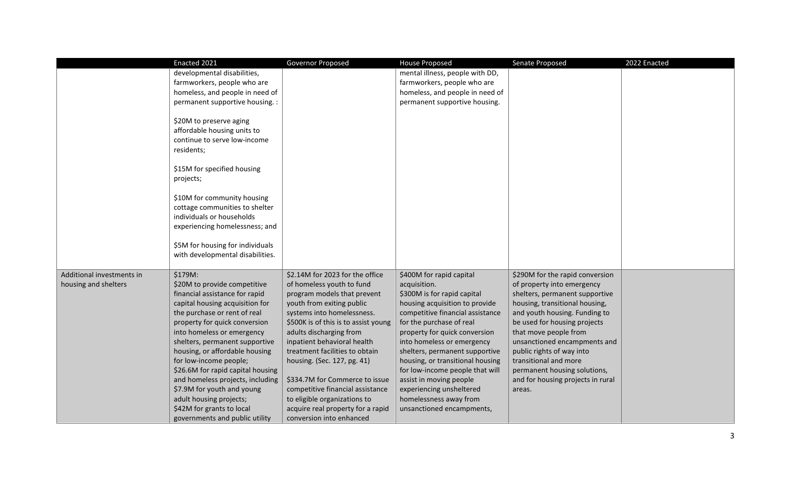|                           | Enacted 2021                                                                                                                                                                                                                                                                                                                                             | Governor Proposed                    | <b>House Proposed</b>            | Senate Proposed                   | 2022 Enacted |
|---------------------------|----------------------------------------------------------------------------------------------------------------------------------------------------------------------------------------------------------------------------------------------------------------------------------------------------------------------------------------------------------|--------------------------------------|----------------------------------|-----------------------------------|--------------|
|                           | developmental disabilities,                                                                                                                                                                                                                                                                                                                              |                                      | mental illness, people with DD,  |                                   |              |
|                           | farmworkers, people who are                                                                                                                                                                                                                                                                                                                              |                                      | farmworkers, people who are      |                                   |              |
|                           | homeless, and people in need of                                                                                                                                                                                                                                                                                                                          |                                      | homeless, and people in need of  |                                   |              |
|                           | permanent supportive housing. :                                                                                                                                                                                                                                                                                                                          |                                      | permanent supportive housing.    |                                   |              |
|                           | \$20M to preserve aging<br>affordable housing units to<br>continue to serve low-income<br>residents;<br>\$15M for specified housing<br>projects;<br>\$10M for community housing<br>cottage communities to shelter<br>individuals or households<br>experiencing homelessness; and<br>\$5M for housing for individuals<br>with developmental disabilities. |                                      |                                  |                                   |              |
| Additional investments in | \$179M:                                                                                                                                                                                                                                                                                                                                                  | \$2.14M for 2023 for the office      | \$400M for rapid capital         | \$290M for the rapid conversion   |              |
| housing and shelters      | \$20M to provide competitive                                                                                                                                                                                                                                                                                                                             | of homeless youth to fund            | acquisition.                     | of property into emergency        |              |
|                           | financial assistance for rapid                                                                                                                                                                                                                                                                                                                           | program models that prevent          | \$300M is for rapid capital      | shelters, permanent supportive    |              |
|                           | capital housing acquisition for                                                                                                                                                                                                                                                                                                                          | youth from exiting public            | housing acquisition to provide   | housing, transitional housing,    |              |
|                           | the purchase or rent of real                                                                                                                                                                                                                                                                                                                             | systems into homelessness.           | competitive financial assistance | and youth housing. Funding to     |              |
|                           | property for quick conversion                                                                                                                                                                                                                                                                                                                            | \$500K is of this is to assist young | for the purchase of real         | be used for housing projects      |              |
|                           | into homeless or emergency                                                                                                                                                                                                                                                                                                                               | adults discharging from              | property for quick conversion    | that move people from             |              |
|                           | shelters, permanent supportive                                                                                                                                                                                                                                                                                                                           | inpatient behavioral health          | into homeless or emergency       | unsanctioned encampments and      |              |
|                           | housing, or affordable housing                                                                                                                                                                                                                                                                                                                           | treatment facilities to obtain       | shelters, permanent supportive   | public rights of way into         |              |
|                           | for low-income people;                                                                                                                                                                                                                                                                                                                                   | housing. (Sec. 127, pg. 41)          | housing, or transitional housing | transitional and more             |              |
|                           | \$26.6M for rapid capital housing                                                                                                                                                                                                                                                                                                                        |                                      | for low-income people that will  | permanent housing solutions,      |              |
|                           | and homeless projects, including                                                                                                                                                                                                                                                                                                                         | \$334.7M for Commerce to issue       | assist in moving people          | and for housing projects in rural |              |
|                           | \$7.9M for youth and young                                                                                                                                                                                                                                                                                                                               | competitive financial assistance     | experiencing unsheltered         | areas.                            |              |
|                           | adult housing projects;                                                                                                                                                                                                                                                                                                                                  | to eligible organizations to         | homelessness away from           |                                   |              |
|                           | \$42M for grants to local                                                                                                                                                                                                                                                                                                                                | acquire real property for a rapid    | unsanctioned encampments,        |                                   |              |
|                           | governments and public utility                                                                                                                                                                                                                                                                                                                           | conversion into enhanced             |                                  |                                   |              |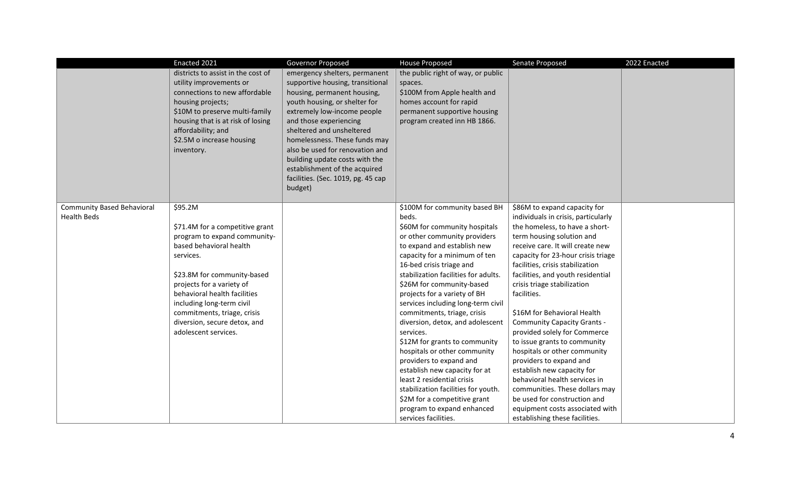|                                   | Enacted 2021                                         | Governor Proposed                                            | <b>House Proposed</b>                                   | Senate Proposed                                                    | 2022 Enacted |
|-----------------------------------|------------------------------------------------------|--------------------------------------------------------------|---------------------------------------------------------|--------------------------------------------------------------------|--------------|
|                                   | districts to assist in the cost of                   | emergency shelters, permanent                                | the public right of way, or public                      |                                                                    |              |
|                                   | utility improvements or                              | supportive housing, transitional                             | spaces.                                                 |                                                                    |              |
|                                   | connections to new affordable                        | housing, permanent housing,                                  | \$100M from Apple health and                            |                                                                    |              |
|                                   | housing projects;<br>\$10M to preserve multi-family  | youth housing, or shelter for<br>extremely low-income people | homes account for rapid<br>permanent supportive housing |                                                                    |              |
|                                   | housing that is at risk of losing                    | and those experiencing                                       | program created inn HB 1866.                            |                                                                    |              |
|                                   | affordability; and                                   | sheltered and unsheltered                                    |                                                         |                                                                    |              |
|                                   | \$2.5M o increase housing                            | homelessness. These funds may                                |                                                         |                                                                    |              |
|                                   | inventory.                                           | also be used for renovation and                              |                                                         |                                                                    |              |
|                                   |                                                      | building update costs with the                               |                                                         |                                                                    |              |
|                                   |                                                      | establishment of the acquired                                |                                                         |                                                                    |              |
|                                   |                                                      | facilities. (Sec. 1019, pg. 45 cap                           |                                                         |                                                                    |              |
|                                   |                                                      | budget)                                                      |                                                         |                                                                    |              |
|                                   |                                                      |                                                              |                                                         |                                                                    |              |
| <b>Community Based Behavioral</b> | \$95.2M                                              |                                                              | \$100M for community based BH                           | \$86M to expand capacity for                                       |              |
| <b>Health Beds</b>                |                                                      |                                                              | beds.                                                   | individuals in crisis, particularly                                |              |
|                                   | \$71.4M for a competitive grant                      |                                                              | \$60M for community hospitals                           | the homeless, to have a short-                                     |              |
|                                   | program to expand community-                         |                                                              | or other community providers                            | term housing solution and                                          |              |
|                                   | based behavioral health                              |                                                              | to expand and establish new                             | receive care. It will create new                                   |              |
|                                   | services.                                            |                                                              | capacity for a minimum of ten                           | capacity for 23-hour crisis triage                                 |              |
|                                   |                                                      |                                                              | 16-bed crisis triage and                                | facilities, crisis stabilization                                   |              |
|                                   | \$23.8M for community-based                          |                                                              | stabilization facilities for adults.                    | facilities, and youth residential                                  |              |
|                                   | projects for a variety of                            |                                                              | \$26M for community-based                               | crisis triage stabilization                                        |              |
|                                   | behavioral health facilities                         |                                                              | projects for a variety of BH                            | facilities.                                                        |              |
|                                   | including long-term civil                            |                                                              | services including long-term civil                      |                                                                    |              |
|                                   | commitments, triage, crisis                          |                                                              | commitments, triage, crisis                             | \$16M for Behavioral Health                                        |              |
|                                   | diversion, secure detox, and<br>adolescent services. |                                                              | diversion, detox, and adolescent<br>services.           | <b>Community Capacity Grants -</b><br>provided solely for Commerce |              |
|                                   |                                                      |                                                              | \$12M for grants to community                           | to issue grants to community                                       |              |
|                                   |                                                      |                                                              | hospitals or other community                            | hospitals or other community                                       |              |
|                                   |                                                      |                                                              | providers to expand and                                 | providers to expand and                                            |              |
|                                   |                                                      |                                                              | establish new capacity for at                           | establish new capacity for                                         |              |
|                                   |                                                      |                                                              | least 2 residential crisis                              | behavioral health services in                                      |              |
|                                   |                                                      |                                                              | stabilization facilities for youth.                     | communities. These dollars may                                     |              |
|                                   |                                                      |                                                              | \$2M for a competitive grant                            | be used for construction and                                       |              |
|                                   |                                                      |                                                              | program to expand enhanced                              | equipment costs associated with                                    |              |
|                                   |                                                      |                                                              | services facilities.                                    | establishing these facilities.                                     |              |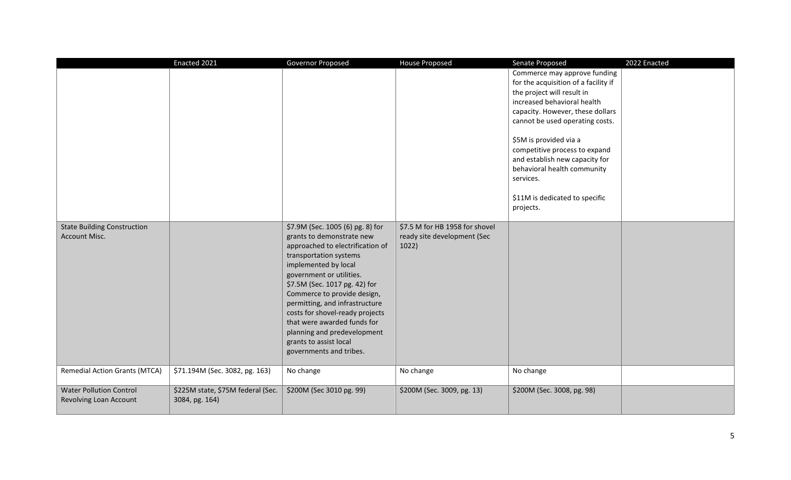|                                                            | Enacted 2021                                        | <b>Governor Proposed</b>                                                                                                                                                                                                                                                                                                                                                                                                                | <b>House Proposed</b>                                                  | Senate Proposed                                                                                                                                                                                                                                                                                                                                                                                  | 2022 Enacted |
|------------------------------------------------------------|-----------------------------------------------------|-----------------------------------------------------------------------------------------------------------------------------------------------------------------------------------------------------------------------------------------------------------------------------------------------------------------------------------------------------------------------------------------------------------------------------------------|------------------------------------------------------------------------|--------------------------------------------------------------------------------------------------------------------------------------------------------------------------------------------------------------------------------------------------------------------------------------------------------------------------------------------------------------------------------------------------|--------------|
|                                                            |                                                     |                                                                                                                                                                                                                                                                                                                                                                                                                                         |                                                                        | Commerce may approve funding<br>for the acquisition of a facility if<br>the project will result in<br>increased behavioral health<br>capacity. However, these dollars<br>cannot be used operating costs.<br>\$5M is provided via a<br>competitive process to expand<br>and establish new capacity for<br>behavioral health community<br>services.<br>\$11M is dedicated to specific<br>projects. |              |
| <b>State Building Construction</b><br><b>Account Misc.</b> |                                                     | \$7.9M (Sec. 1005 (6) pg. 8) for<br>grants to demonstrate new<br>approached to electrification of<br>transportation systems<br>implemented by local<br>government or utilities.<br>\$7.5M (Sec. 1017 pg. 42) for<br>Commerce to provide design,<br>permitting, and infrastructure<br>costs for shovel-ready projects<br>that were awarded funds for<br>planning and predevelopment<br>grants to assist local<br>governments and tribes. | \$7.5 M for HB 1958 for shovel<br>ready site development (Sec<br>1022) |                                                                                                                                                                                                                                                                                                                                                                                                  |              |
| <b>Remedial Action Grants (MTCA)</b>                       | \$71.194M (Sec. 3082, pg. 163)                      | No change                                                                                                                                                                                                                                                                                                                                                                                                                               | No change                                                              | No change                                                                                                                                                                                                                                                                                                                                                                                        |              |
| <b>Water Pollution Control</b><br>Revolving Loan Account   | \$225M state, \$75M federal (Sec.<br>3084, pg. 164) | \$200M (Sec 3010 pg. 99)                                                                                                                                                                                                                                                                                                                                                                                                                | \$200M (Sec. 3009, pg. 13)                                             | \$200M (Sec. 3008, pg. 98)                                                                                                                                                                                                                                                                                                                                                                       |              |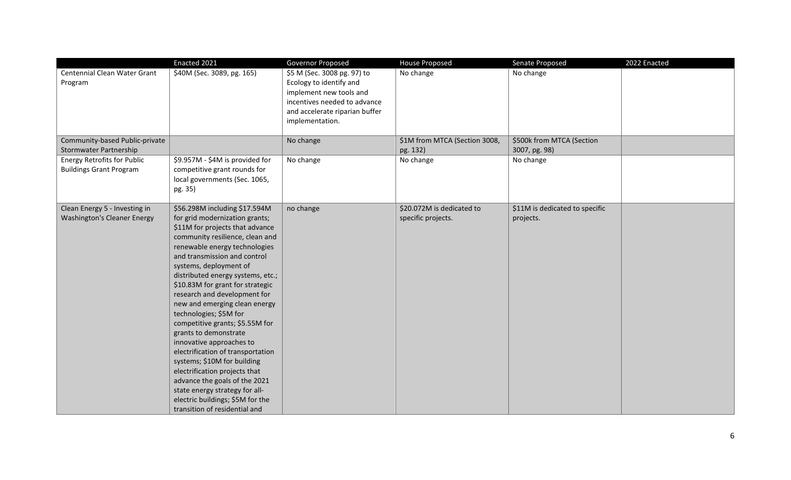|                                                                      | Enacted 2021                                                                                                                                                                                                                                                                                                                                                                                                                                                                                                                                                                                                                                                                                                                              | Governor Proposed                                                                                                                                                      | <b>House Proposed</b>                           | Senate Proposed                             | 2022 Enacted |
|----------------------------------------------------------------------|-------------------------------------------------------------------------------------------------------------------------------------------------------------------------------------------------------------------------------------------------------------------------------------------------------------------------------------------------------------------------------------------------------------------------------------------------------------------------------------------------------------------------------------------------------------------------------------------------------------------------------------------------------------------------------------------------------------------------------------------|------------------------------------------------------------------------------------------------------------------------------------------------------------------------|-------------------------------------------------|---------------------------------------------|--------------|
| Centennial Clean Water Grant<br>Program                              | \$40M (Sec. 3089, pg. 165)                                                                                                                                                                                                                                                                                                                                                                                                                                                                                                                                                                                                                                                                                                                | \$5 M (Sec. 3008 pg. 97) to<br>Ecology to identify and<br>implement new tools and<br>incentives needed to advance<br>and accelerate riparian buffer<br>implementation. | No change                                       | No change                                   |              |
| Community-based Public-private<br>Stormwater Partnership             |                                                                                                                                                                                                                                                                                                                                                                                                                                                                                                                                                                                                                                                                                                                                           | No change                                                                                                                                                              | \$1M from MTCA (Section 3008,<br>pg. 132)       | \$500k from MTCA (Section<br>3007, pg. 98)  |              |
| <b>Energy Retrofits for Public</b><br><b>Buildings Grant Program</b> | \$9.957M - \$4M is provided for<br>competitive grant rounds for<br>local governments (Sec. 1065,<br>pg. 35)                                                                                                                                                                                                                                                                                                                                                                                                                                                                                                                                                                                                                               | No change                                                                                                                                                              | No change                                       | No change                                   |              |
| Clean Energy 5 - Investing in<br><b>Washington's Cleaner Energy</b>  | \$56.298M including \$17.594M<br>for grid modernization grants;<br>\$11M for projects that advance<br>community resilience, clean and<br>renewable energy technologies<br>and transmission and control<br>systems, deployment of<br>distributed energy systems, etc.;<br>\$10.83M for grant for strategic<br>research and development for<br>new and emerging clean energy<br>technologies; \$5M for<br>competitive grants; \$5.55M for<br>grants to demonstrate<br>innovative approaches to<br>electrification of transportation<br>systems; \$10M for building<br>electrification projects that<br>advance the goals of the 2021<br>state energy strategy for all-<br>electric buildings; \$5M for the<br>transition of residential and | no change                                                                                                                                                              | \$20.072M is dedicated to<br>specific projects. | \$11M is dedicated to specific<br>projects. |              |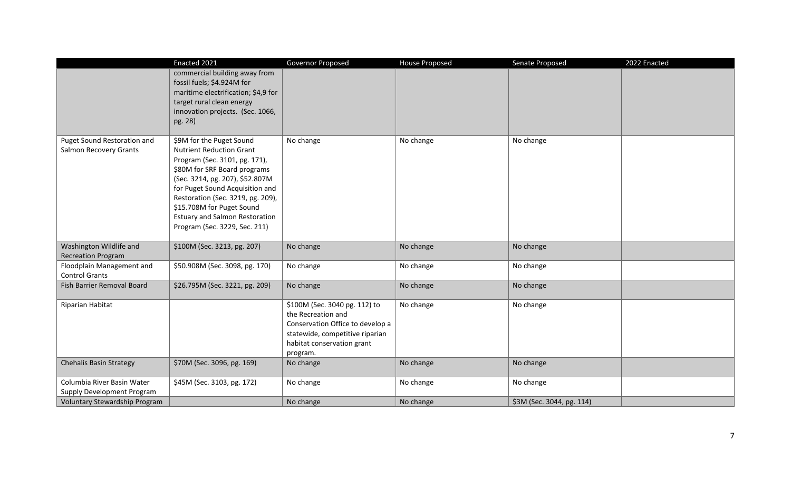|                                                          | Enacted 2021                                                                                                                                                                                                                                                                                                                                   | Governor Proposed                                                                                                                                                    | <b>House Proposed</b> | Senate Proposed           | 2022 Enacted |
|----------------------------------------------------------|------------------------------------------------------------------------------------------------------------------------------------------------------------------------------------------------------------------------------------------------------------------------------------------------------------------------------------------------|----------------------------------------------------------------------------------------------------------------------------------------------------------------------|-----------------------|---------------------------|--------------|
|                                                          | commercial building away from<br>fossil fuels; \$4.924M for<br>maritime electrification; \$4,9 for<br>target rural clean energy<br>innovation projects. (Sec. 1066,<br>pg. 28)                                                                                                                                                                 |                                                                                                                                                                      |                       |                           |              |
| Puget Sound Restoration and<br>Salmon Recovery Grants    | \$9M for the Puget Sound<br><b>Nutrient Reduction Grant</b><br>Program (Sec. 3101, pg. 171),<br>\$80M for SRF Board programs<br>(Sec. 3214, pg. 207), \$52.807M<br>for Puget Sound Acquisition and<br>Restoration (Sec. 3219, pg. 209),<br>\$15.708M for Puget Sound<br><b>Estuary and Salmon Restoration</b><br>Program (Sec. 3229, Sec. 211) | No change                                                                                                                                                            | No change             | No change                 |              |
| Washington Wildlife and<br><b>Recreation Program</b>     | \$100M (Sec. 3213, pg. 207)                                                                                                                                                                                                                                                                                                                    | No change                                                                                                                                                            | No change             | No change                 |              |
| Floodplain Management and<br><b>Control Grants</b>       | \$50.908M (Sec. 3098, pg. 170)                                                                                                                                                                                                                                                                                                                 | No change                                                                                                                                                            | No change             | No change                 |              |
| Fish Barrier Removal Board                               | \$26.795M (Sec. 3221, pg. 209)                                                                                                                                                                                                                                                                                                                 | No change                                                                                                                                                            | No change             | No change                 |              |
| Riparian Habitat                                         |                                                                                                                                                                                                                                                                                                                                                | \$100M (Sec. 3040 pg. 112) to<br>the Recreation and<br>Conservation Office to develop a<br>statewide, competitive riparian<br>habitat conservation grant<br>program. | No change             | No change                 |              |
| Chehalis Basin Strategy                                  | \$70M (Sec. 3096, pg. 169)                                                                                                                                                                                                                                                                                                                     | No change                                                                                                                                                            | No change             | No change                 |              |
| Columbia River Basin Water<br>Supply Development Program | \$45M (Sec. 3103, pg. 172)                                                                                                                                                                                                                                                                                                                     | No change                                                                                                                                                            | No change             | No change                 |              |
| Voluntary Stewardship Program                            |                                                                                                                                                                                                                                                                                                                                                | No change                                                                                                                                                            | No change             | \$3M (Sec. 3044, pg. 114) |              |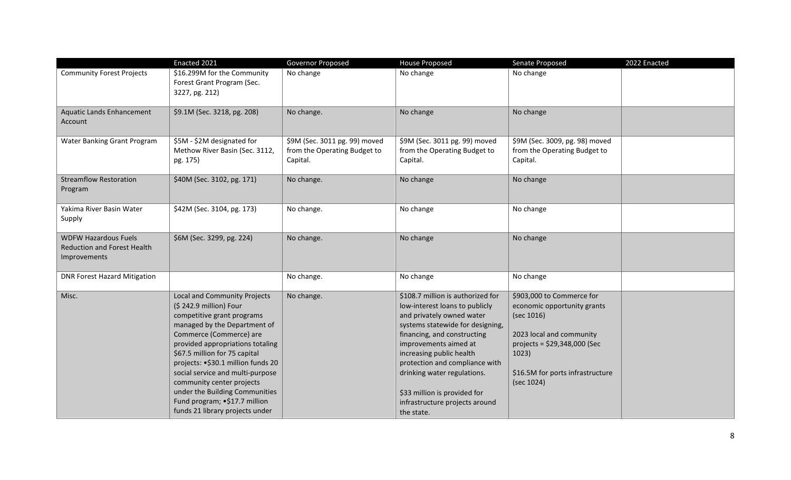|                                                                                   | Enacted 2021                                                                                                                                                                                                                                                                                                                                                                                                                       | Governor Proposed                                                         | <b>House Proposed</b>                                                                                                                                                                                                                                                                                                                                                     | Senate Proposed                                                                                                                                                                                | 2022 Enacted |
|-----------------------------------------------------------------------------------|------------------------------------------------------------------------------------------------------------------------------------------------------------------------------------------------------------------------------------------------------------------------------------------------------------------------------------------------------------------------------------------------------------------------------------|---------------------------------------------------------------------------|---------------------------------------------------------------------------------------------------------------------------------------------------------------------------------------------------------------------------------------------------------------------------------------------------------------------------------------------------------------------------|------------------------------------------------------------------------------------------------------------------------------------------------------------------------------------------------|--------------|
| <b>Community Forest Projects</b>                                                  | \$16.299M for the Community<br>Forest Grant Program (Sec.<br>3227, pg. 212)                                                                                                                                                                                                                                                                                                                                                        | No change                                                                 | No change                                                                                                                                                                                                                                                                                                                                                                 | No change                                                                                                                                                                                      |              |
| <b>Aquatic Lands Enhancement</b><br>Account                                       | \$9.1M (Sec. 3218, pg. 208)                                                                                                                                                                                                                                                                                                                                                                                                        | No change.                                                                | No change                                                                                                                                                                                                                                                                                                                                                                 | No change                                                                                                                                                                                      |              |
| Water Banking Grant Program                                                       | \$5M - \$2M designated for<br>Methow River Basin (Sec. 3112,<br>pg. 175)                                                                                                                                                                                                                                                                                                                                                           | \$9M (Sec. 3011 pg. 99) moved<br>from the Operating Budget to<br>Capital. | \$9M (Sec. 3011 pg. 99) moved<br>from the Operating Budget to<br>Capital.                                                                                                                                                                                                                                                                                                 | \$9M (Sec. 3009, pg. 98) moved<br>from the Operating Budget to<br>Capital.                                                                                                                     |              |
| <b>Streamflow Restoration</b><br>Program                                          | \$40M (Sec. 3102, pg. 171)                                                                                                                                                                                                                                                                                                                                                                                                         | No change.                                                                | No change                                                                                                                                                                                                                                                                                                                                                                 | No change                                                                                                                                                                                      |              |
| Yakima River Basin Water<br>Supply                                                | \$42M (Sec. 3104, pg. 173)                                                                                                                                                                                                                                                                                                                                                                                                         | No change.                                                                | No change                                                                                                                                                                                                                                                                                                                                                                 | No change                                                                                                                                                                                      |              |
| <b>WDFW Hazardous Fuels</b><br><b>Reduction and Forest Health</b><br>Improvements | \$6M (Sec. 3299, pg. 224)                                                                                                                                                                                                                                                                                                                                                                                                          | No change.                                                                | No change                                                                                                                                                                                                                                                                                                                                                                 | No change                                                                                                                                                                                      |              |
| <b>DNR Forest Hazard Mitigation</b>                                               |                                                                                                                                                                                                                                                                                                                                                                                                                                    | No change.                                                                | No change                                                                                                                                                                                                                                                                                                                                                                 | No change                                                                                                                                                                                      |              |
| Misc.                                                                             | Local and Community Projects<br>(\$242.9 million) Four<br>competitive grant programs<br>managed by the Department of<br>Commerce (Commerce) are<br>provided appropriations totaling<br>\$67.5 million for 75 capital<br>projects: • \$30.1 million funds 20<br>social service and multi-purpose<br>community center projects<br>under the Building Communities<br>Fund program; •\$17.7 million<br>funds 21 library projects under | No change.                                                                | \$108.7 million is authorized for<br>low-interest loans to publicly<br>and privately owned water<br>systems statewide for designing,<br>financing, and constructing<br>improvements aimed at<br>increasing public health<br>protection and compliance with<br>drinking water regulations.<br>\$33 million is provided for<br>infrastructure projects around<br>the state. | \$903,000 to Commerce for<br>economic opportunity grants<br>(sec 1016)<br>2023 local and community<br>projects = $$29,348,000$ (Sec<br>1023)<br>\$16.5M for ports infrastructure<br>(sec 1024) |              |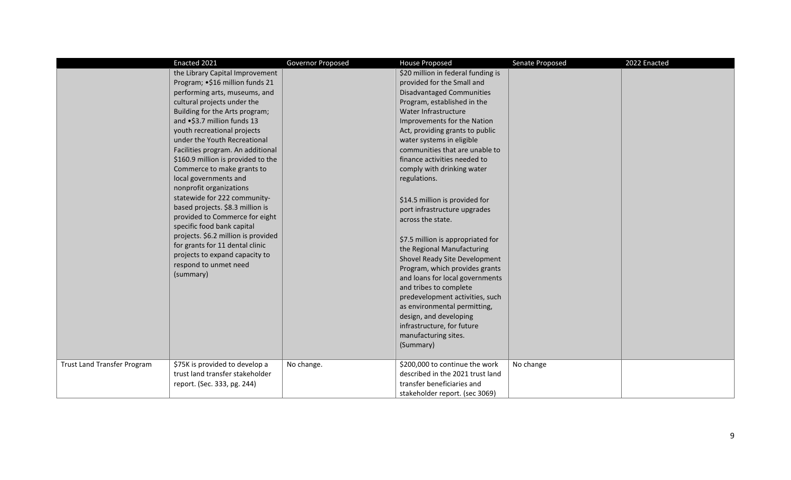|                                    | Enacted 2021                                                                                                                                                                                                                                                                                                                                                                                                                                                                                                                                                                                                                                                                                                                                            | Governor Proposed | <b>House Proposed</b>                                                                                                                                                                                                                                                                                                                                                                                                                                                                                                                                                                                                                                                                                                                                                                                                                                                  | Senate Proposed | 2022 Enacted |
|------------------------------------|---------------------------------------------------------------------------------------------------------------------------------------------------------------------------------------------------------------------------------------------------------------------------------------------------------------------------------------------------------------------------------------------------------------------------------------------------------------------------------------------------------------------------------------------------------------------------------------------------------------------------------------------------------------------------------------------------------------------------------------------------------|-------------------|------------------------------------------------------------------------------------------------------------------------------------------------------------------------------------------------------------------------------------------------------------------------------------------------------------------------------------------------------------------------------------------------------------------------------------------------------------------------------------------------------------------------------------------------------------------------------------------------------------------------------------------------------------------------------------------------------------------------------------------------------------------------------------------------------------------------------------------------------------------------|-----------------|--------------|
| <b>Trust Land Transfer Program</b> | the Library Capital Improvement<br>Program; •\$16 million funds 21<br>performing arts, museums, and<br>cultural projects under the<br>Building for the Arts program;<br>and •\$3.7 million funds 13<br>youth recreational projects<br>under the Youth Recreational<br>Facilities program. An additional<br>\$160.9 million is provided to the<br>Commerce to make grants to<br>local governments and<br>nonprofit organizations<br>statewide for 222 community-<br>based projects. \$8.3 million is<br>provided to Commerce for eight<br>specific food bank capital<br>projects. \$6.2 million is provided<br>for grants for 11 dental clinic<br>projects to expand capacity to<br>respond to unmet need<br>(summary)<br>\$75K is provided to develop a | No change.        | \$20 million in federal funding is<br>provided for the Small and<br><b>Disadvantaged Communities</b><br>Program, established in the<br>Water Infrastructure<br>Improvements for the Nation<br>Act, providing grants to public<br>water systems in eligible<br>communities that are unable to<br>finance activities needed to<br>comply with drinking water<br>regulations.<br>\$14.5 million is provided for<br>port infrastructure upgrades<br>across the state.<br>\$7.5 million is appropriated for<br>the Regional Manufacturing<br>Shovel Ready Site Development<br>Program, which provides grants<br>and loans for local governments<br>and tribes to complete<br>predevelopment activities, such<br>as environmental permitting,<br>design, and developing<br>infrastructure, for future<br>manufacturing sites.<br>(Summary)<br>\$200,000 to continue the work | No change       |              |
|                                    | trust land transfer stakeholder<br>report. (Sec. 333, pg. 244)                                                                                                                                                                                                                                                                                                                                                                                                                                                                                                                                                                                                                                                                                          |                   | described in the 2021 trust land<br>transfer beneficiaries and<br>stakeholder report. (sec 3069)                                                                                                                                                                                                                                                                                                                                                                                                                                                                                                                                                                                                                                                                                                                                                                       |                 |              |